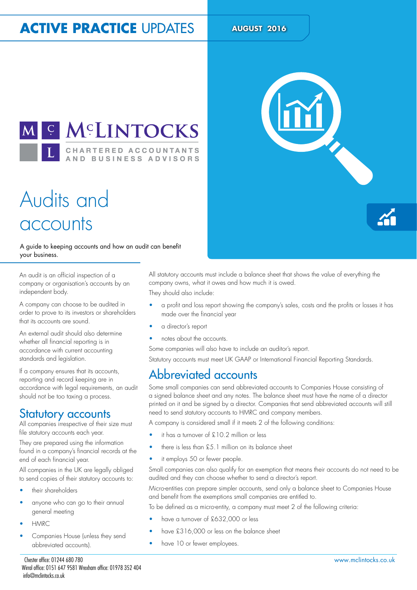### **ACTIVE PRACTICE UPDATES AUGUST 2016**



## Audits and **accounts**

### A guide to keeping accounts and how an audit can benefit your business.

An audit is an oficial inspection of a company or organisation's accounts by an independent body.

A company can choose to be audited in order to prove to its investors or shareholders that its accounts are sound.

An external audit should also determine whether all financial reporting is in accordance with current accounting standards and legislation.

If a company ensures that its accounts, reporting and record keeping are in accordance with legal requirements, an audit should not be too taxing a process.

### Statutory accounts

All companies irrespective of their size must file statutory accounts each year.

They are prepared using the information found in a company's inancial records at the end of each inancial year.

All companies in the UK are legally obliged to send copies of their statutory accounts to:

- their shareholders
- anyone who can go to their annual general meeting
- HMRC
- Companies House (unless they send abbreviated accounts).

All statutory accounts must include a balance sheet that shows the value of everything the company owns, what it owes and how much it is owed.

They should also include:

- a profit and loss report showing the company's sales, costs and the profits or losses it has made over the inancial year
- a director's report
- notes about the accounts.

Some companies will also have to include an auditor's report.

Statutory accounts must meet UK GAAP or International Financial Reporting Standards.

### Abbreviated accounts

Some small companies can send abbreviated accounts to Companies House consisting of a signed balance sheet and any notes. The balance sheet must have the name of a director printed on it and be signed by a director. Companies that send abbreviated accounts will still need to send statutory accounts to HMRC and company members.

A company is considered small if it meets 2 of the following conditions:

- it has a turnover of £10.2 million or less
- there is less than £5.1 million on its balance sheet
- it employs 50 or fewer people.

Small companies can also qualify for an exemption that means their accounts do not need to be audited and they can choose whether to send a director's report.

Micro-entities can prepare simpler accounts, send only a balance sheet to Companies House and benefit from the exemptions small companies are entitled to.

To be defined as a micro-entity, a company must meet 2 of the following criteria:

- have a turnover of £632,000 or less
- have £316,000 or less on the balance sheet
- have 10 or fewer employees.